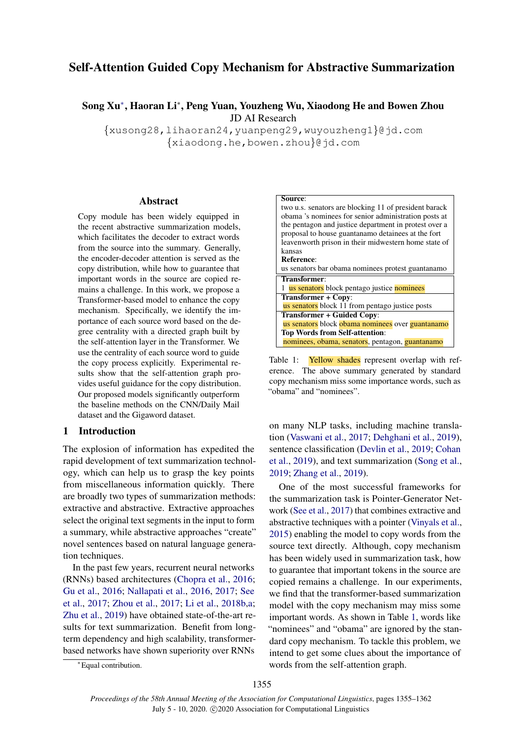# Self-Attention Guided Copy Mechanism for Abstractive Summarization

## Song Xu<sup>∗</sup> , Haoran Li<sup>∗</sup> , Peng Yuan, Youzheng Wu, Xiaodong He and Bowen Zhou JD AI Research

{xusong28,lihaoran24,yuanpeng29,wuyouzheng1}@jd.com {xiaodong.he,bowen.zhou}@jd.com

#### Abstract

Copy module has been widely equipped in the recent abstractive summarization models, which facilitates the decoder to extract words from the source into the summary. Generally, the encoder-decoder attention is served as the copy distribution, while how to guarantee that important words in the source are copied remains a challenge. In this work, we propose a Transformer-based model to enhance the copy mechanism. Specifically, we identify the importance of each source word based on the degree centrality with a directed graph built by the self-attention layer in the Transformer. We use the centrality of each source word to guide the copy process explicitly. Experimental results show that the self-attention graph provides useful guidance for the copy distribution. Our proposed models significantly outperform the baseline methods on the CNN/Daily Mail dataset and the Gigaword dataset.

## 1 Introduction

The explosion of information has expedited the rapid development of text summarization technology, which can help us to grasp the key points from miscellaneous information quickly. There are broadly two types of summarization methods: extractive and abstractive. Extractive approaches select the original text segments in the input to form a summary, while abstractive approaches "create" novel sentences based on natural language generation techniques.

In the past few years, recurrent neural networks (RNNs) based architectures [\(Chopra et al.,](#page-5-0) [2016;](#page-5-0) [Gu et al.,](#page-5-1) [2016;](#page-5-1) [Nallapati et al.,](#page-6-0) [2016,](#page-6-0) [2017;](#page-6-1) [See](#page-6-2) [et al.,](#page-6-2) [2017;](#page-6-2) [Zhou et al.,](#page-7-0) [2017;](#page-7-0) [Li et al.,](#page-6-3) [2018b](#page-6-3)[,a;](#page-5-2) [Zhu et al.,](#page-7-1) [2019\)](#page-7-1) have obtained state-of-the-art results for text summarization. Benefit from longterm dependency and high scalability, transformerbased networks have shown superiority over RNNs

<span id="page-0-0"></span>

Table 1: Yellow shades represent overlap with reference. The above summary generated by standard copy mechanism miss some importance words, such as "obama" and "nominees".

on many NLP tasks, including machine translation [\(Vaswani et al.,](#page-6-4) [2017;](#page-6-4) [Dehghani et al.,](#page-5-3) [2019\)](#page-5-3), sentence classification [\(Devlin et al.,](#page-5-4) [2019;](#page-5-4) [Cohan](#page-5-5) [et al.,](#page-5-5) [2019\)](#page-5-5), and text summarization [\(Song et al.,](#page-6-5) [2019;](#page-6-5) [Zhang et al.,](#page-6-6) [2019\)](#page-6-6).

One of the most successful frameworks for the summarization task is Pointer-Generator Network [\(See et al.,](#page-6-2) [2017\)](#page-6-2) that combines extractive and abstractive techniques with a pointer [\(Vinyals et al.,](#page-6-7) [2015\)](#page-6-7) enabling the model to copy words from the source text directly. Although, copy mechanism has been widely used in summarization task, how to guarantee that important tokens in the source are copied remains a challenge. In our experiments, we find that the transformer-based summarization model with the copy mechanism may miss some important words. As shown in Table [1,](#page-0-0) words like "nominees" and "obama" are ignored by the standard copy mechanism. To tackle this problem, we intend to get some clues about the importance of words from the self-attention graph.

<sup>∗</sup>Equal contribution.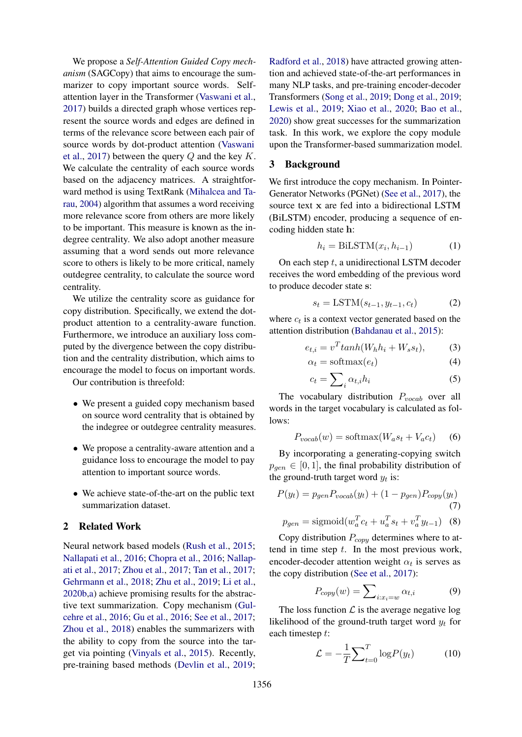We propose a *Self-Attention Guided Copy mechanism* (SAGCopy) that aims to encourage the summarizer to copy important source words. Selfattention layer in the Transformer [\(Vaswani et al.,](#page-6-4) [2017\)](#page-6-4) builds a directed graph whose vertices represent the source words and edges are defined in terms of the relevance score between each pair of source words by dot-product attention [\(Vaswani](#page-6-4) [et al.,](#page-6-4) [2017\)](#page-6-4) between the query  $Q$  and the key  $K$ . We calculate the centrality of each source words based on the adjacency matrices. A straightforward method is using TextRank [\(Mihalcea and Ta](#page-6-8)[rau,](#page-6-8) [2004\)](#page-6-8) algorithm that assumes a word receiving more relevance score from others are more likely to be important. This measure is known as the indegree centrality. We also adopt another measure assuming that a word sends out more relevance score to others is likely to be more critical, namely outdegree centrality, to calculate the source word centrality.

We utilize the centrality score as guidance for copy distribution. Specifically, we extend the dotproduct attention to a centrality-aware function. Furthermore, we introduce an auxiliary loss computed by the divergence between the copy distribution and the centrality distribution, which aims to encourage the model to focus on important words.

Our contribution is threefold:

- We present a guided copy mechanism based on source word centrality that is obtained by the indegree or outdegree centrality measures.
- We propose a centrality-aware attention and a guidance loss to encourage the model to pay attention to important source words.
- We achieve state-of-the-art on the public text summarization dataset.

## 2 Related Work

Neural network based models [\(Rush et al.,](#page-6-9) [2015;](#page-6-9) [Nallapati et al.,](#page-6-0) [2016;](#page-6-0) [Chopra et al.,](#page-5-0) [2016;](#page-5-0) [Nallap](#page-6-1)[ati et al.,](#page-6-1) [2017;](#page-6-1) [Zhou et al.,](#page-7-0) [2017;](#page-7-0) [Tan et al.,](#page-6-10) [2017;](#page-6-10) [Gehrmann et al.,](#page-5-6) [2018;](#page-5-6) [Zhu et al.,](#page-7-1) [2019;](#page-7-1) [Li et al.,](#page-6-11) [2020b,](#page-6-11)[a\)](#page-5-7) achieve promising results for the abstractive text summarization. Copy mechanism [\(Gul](#page-5-8)[cehre et al.,](#page-5-8) [2016;](#page-5-8) [Gu et al.,](#page-5-1) [2016;](#page-5-1) [See et al.,](#page-6-2) [2017;](#page-6-2) [Zhou et al.,](#page-7-2) [2018\)](#page-7-2) enables the summarizers with the ability to copy from the source into the target via pointing [\(Vinyals et al.,](#page-6-7) [2015\)](#page-6-7). Recently, pre-training based methods [\(Devlin et al.,](#page-5-4) [2019;](#page-5-4)

[Radford et al.,](#page-6-12) [2018\)](#page-6-12) have attracted growing attention and achieved state-of-the-art performances in many NLP tasks, and pre-training encoder-decoder Transformers [\(Song et al.,](#page-6-5) [2019;](#page-6-5) [Dong et al.,](#page-5-9) [2019;](#page-5-9) [Lewis et al.,](#page-5-10) [2019;](#page-5-10) [Xiao et al.,](#page-6-13) [2020;](#page-6-13) [Bao et al.,](#page-5-11) [2020\)](#page-5-11) show great successes for the summarization task. In this work, we explore the copy module upon the Transformer-based summarization model.

#### 3 Background

We first introduce the copy mechanism. In Pointer-Generator Networks (PGNet) [\(See et al.,](#page-6-2) [2017\)](#page-6-2), the source text x are fed into a bidirectional LSTM (BiLSTM) encoder, producing a sequence of encoding hidden state h:

$$
h_i = \text{BiLSTM}(x_i, h_{i-1}) \tag{1}
$$

On each step  $t$ , a unidirectional LSTM decoder receives the word embedding of the previous word to produce decoder state s:

$$
s_t = \text{LSTM}(s_{t-1}, y_{t-1}, c_t) \tag{2}
$$

where  $c_t$  is a context vector generated based on the attention distribution [\(Bahdanau et al.,](#page-5-12) [2015\)](#page-5-12):

$$
e_{t,i} = v^T \tanh(W_h h_i + W_s s_t), \tag{3}
$$

$$
\alpha_t = \text{softmax}(e_t) \tag{4}
$$

$$
c_t = \sum_{i} \alpha_{t,i} h_i \tag{5}
$$

The vocabulary distribution  $P_{vocab}$  over all words in the target vocabulary is calculated as follows:

$$
P_{vocab}(w) = \text{softmax}(W_a s_t + V_a c_t) \tag{6}
$$

By incorporating a generating-copying switch  $p_{\text{gen}} \in [0, 1]$ , the final probability distribution of the ground-truth target word  $y_t$  is:

$$
P(y_t) = p_{gen} P_{vocab}(y_t) + (1 - p_{gen}) P_{copy}(y_t)
$$
\n(7)

$$
p_{gen} = \text{sigmoid}(w_a^T c_t + u_a^T s_t + v_a^T y_{t-1}) \quad (8)
$$

Copy distribution  $P_{copy}$  determines where to attend in time step  $t$ . In the most previous work, encoder-decoder attention weight  $\alpha_t$  is serves as the copy distribution [\(See et al.,](#page-6-2) [2017\)](#page-6-2):

$$
P_{copy}(w) = \sum_{i:x_i=w} \alpha_{t,i} \tag{9}
$$

The loss function  $\mathcal L$  is the average negative log likelihood of the ground-truth target word  $y_t$  for each timestep t:

$$
\mathcal{L} = -\frac{1}{T} \sum_{t=0}^{T} \log P(y_t) \tag{10}
$$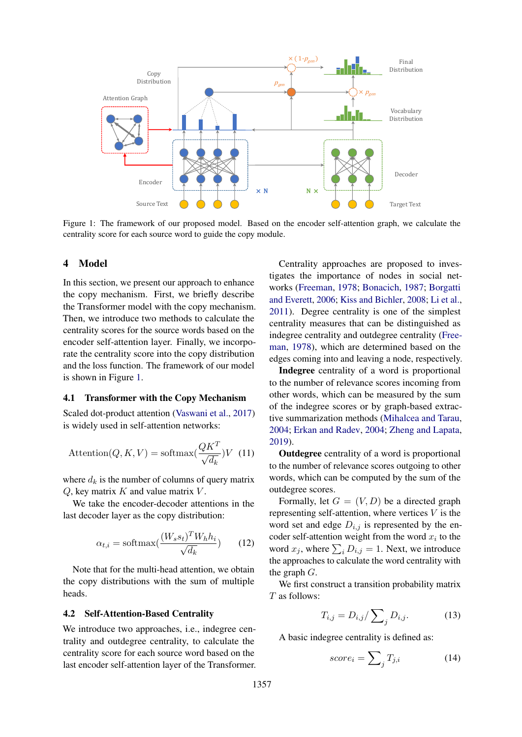<span id="page-2-0"></span>

Figure 1: The framework of our proposed model. Based on the encoder self-attention graph, we calculate the centrality score for each source word to guide the copy module.

#### 4 Model

In this section, we present our approach to enhance the copy mechanism. First, we briefly describe the Transformer model with the copy mechanism. Then, we introduce two methods to calculate the centrality scores for the source words based on the encoder self-attention layer. Finally, we incorporate the centrality score into the copy distribution and the loss function. The framework of our model is shown in Figure [1.](#page-2-0)

#### 4.1 Transformer with the Copy Mechanism

Scaled dot-product attention [\(Vaswani et al.,](#page-6-4) [2017\)](#page-6-4) is widely used in self-attention networks:

$$
\text{Attention}(Q, K, V) = \text{softmax}(\frac{QK^T}{\sqrt{d_k}})V \tag{11}
$$

where  $d_k$  is the number of columns of query matrix  $Q$ , key matrix  $K$  and value matrix  $V$ .

We take the encoder-decoder attentions in the last decoder layer as the copy distribution:

$$
\alpha_{t,i} = \text{softmax}(\frac{(W_s s_t)^T W_h h_i}{\sqrt{d_k}})
$$
 (12)

Note that for the multi-head attention, we obtain the copy distributions with the sum of multiple heads.

#### 4.2 Self-Attention-Based Centrality

We introduce two approaches, i.e., indegree centrality and outdegree centrality, to calculate the centrality score for each source word based on the last encoder self-attention layer of the Transformer.

× N N ×<br>
sased on the encod<br>
y module.<br>
Centrality<br>
tigates the is<br>
works (Free<br>
and Everett, 2011). Deg<br>
centrality m<br>
indegree cen<br>
man, 1978),<br>
edges coming<br> **Indegree**<br>
to the numbe<br>
other words,<br>
of the indeg<br>
ive su Centrality approaches are proposed to investigates the importance of nodes in social networks [\(Freeman,](#page-5-13) [1978;](#page-5-13) [Bonacich,](#page-5-14) [1987;](#page-5-14) [Borgatti](#page-5-15) [and Everett,](#page-5-15) [2006;](#page-5-15) [Kiss and Bichler,](#page-5-16) [2008;](#page-5-16) [Li et al.,](#page-6-14) [2011\)](#page-6-14). Degree centrality is one of the simplest centrality measures that can be distinguished as indegree centrality and outdegree centrality [\(Free](#page-5-13)[man,](#page-5-13) [1978\)](#page-5-13), which are determined based on the edges coming into and leaving a node, respectively.

Indegree centrality of a word is proportional to the number of relevance scores incoming from other words, which can be measured by the sum of the indegree scores or by graph-based extractive summarization methods [\(Mihalcea and Tarau,](#page-6-8) [2004;](#page-6-8) [Erkan and Radev,](#page-5-17) [2004;](#page-5-17) [Zheng and Lapata,](#page-7-3) [2019\)](#page-7-3).

Outdegree centrality of a word is proportional to the number of relevance scores outgoing to other words, which can be computed by the sum of the outdegree scores.

Formally, let  $G = (V, D)$  be a directed graph representing self-attention, where vertices  $V$  is the word set and edge  $D_{i,j}$  is represented by the encoder self-attention weight from the word  $x_i$  to the word  $x_j$ , where  $\sum_i D_{i,j} = 1$ . Next, we introduce the approaches to calculate the word centrality with the graph G.

We first construct a transition probability matrix T as follows:

$$
T_{i,j} = D_{i,j} / \sum_{j} D_{i,j}.
$$
 (13)

A basic indegree centrality is defined as:

$$
score_i = \sum_{j} T_{j,i} \tag{14}
$$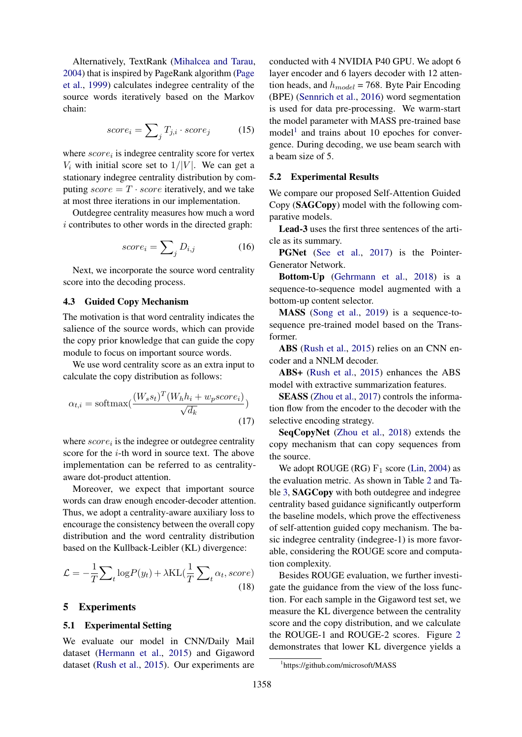Alternatively, TextRank [\(Mihalcea and Tarau,](#page-6-8) [2004\)](#page-6-8) that is inspired by PageRank algorithm [\(Page](#page-6-15) [et al.,](#page-6-15) [1999\)](#page-6-15) calculates indegree centrality of the source words iteratively based on the Markov chain:

$$
score_i = \sum_{j} T_{j,i} \cdot score_j \tag{15}
$$

where  $score_i$  is indegree centrality score for vertex  $V_i$  with initial score set to  $1/|V|$ . We can get a stationary indegree centrality distribution by computing  $score = T \cdot score$  iteratively, and we take at most three iterations in our implementation.

Outdegree centrality measures how much a word i contributes to other words in the directed graph:

$$
score_i = \sum_{j} D_{i,j} \tag{16}
$$

Next, we incorporate the source word centrality score into the decoding process.

#### 4.3 Guided Copy Mechanism

The motivation is that word centrality indicates the salience of the source words, which can provide the copy prior knowledge that can guide the copy module to focus on important source words.

We use word centrality score as an extra input to calculate the copy distribution as follows:

$$
\alpha_{t,i} = \text{softmax}(\frac{(W_s s_t)^T (W_h h_i + w_p score_i)}{\sqrt{d_k}})
$$
\n(17)

where  $score_i$  is the indegree or outdegree centrality score for the i-th word in source text. The above implementation can be referred to as centralityaware dot-product attention.

Moreover, we expect that important source words can draw enough encoder-decoder attention. Thus, we adopt a centrality-aware auxiliary loss to encourage the consistency between the overall copy distribution and the word centrality distribution based on the Kullback-Leibler (KL) divergence:

$$
\mathcal{L} = -\frac{1}{T} \sum_{t} \log P(y_t) + \lambda \text{KL}(\frac{1}{T} \sum_{t} \alpha_t, score)
$$
\n(18)

### 5 Experiments

#### 5.1 Experimental Setting

We evaluate our model in CNN/Daily Mail dataset [\(Hermann et al.,](#page-5-18) [2015\)](#page-5-18) and Gigaword dataset [\(Rush et al.,](#page-6-9) [2015\)](#page-6-9). Our experiments are

conducted with 4 NVIDIA P40 GPU. We adopt 6 layer encoder and 6 layers decoder with 12 attention heads, and  $h_{model} = 768$ . Byte Pair Encoding (BPE) [\(Sennrich et al.,](#page-6-16) [2016\)](#page-6-16) word segmentation is used for data pre-processing. We warm-start the model parameter with MASS pre-trained base model<sup>[1](#page-3-0)</sup> and trains about 10 epoches for convergence. During decoding, we use beam search with a beam size of 5.

#### 5.2 Experimental Results

We compare our proposed Self-Attention Guided Copy (SAGCopy) model with the following comparative models.

Lead-3 uses the first three sentences of the article as its summary.

PGNet [\(See et al.,](#page-6-2) [2017\)](#page-6-2) is the Pointer-Generator Network.

Bottom-Up [\(Gehrmann et al.,](#page-5-6) [2018\)](#page-5-6) is a sequence-to-sequence model augmented with a bottom-up content selector.

MASS [\(Song et al.,](#page-6-5) [2019\)](#page-6-5) is a sequence-tosequence pre-trained model based on the Transformer.

ABS [\(Rush et al.,](#page-6-9) [2015\)](#page-6-9) relies on an CNN encoder and a NNLM decoder.

ABS+ [\(Rush et al.,](#page-6-9) [2015\)](#page-6-9) enhances the ABS model with extractive summarization features.

SEASS [\(Zhou et al.,](#page-7-0) [2017\)](#page-7-0) controls the information flow from the encoder to the decoder with the selective encoding strategy.

SeqCopyNet [\(Zhou et al.,](#page-7-2) [2018\)](#page-7-2) extends the copy mechanism that can copy sequences from the source.

We adopt ROUGE (RG)  $F_1$  score [\(Lin,](#page-6-17) [2004\)](#page-6-17) as the evaluation metric. As shown in Table [2](#page-4-0) and Table [3,](#page-4-1) SAGCopy with both outdegree and indegree centrality based guidance significantly outperform the baseline models, which prove the effectiveness of self-attention guided copy mechanism. The basic indegree centrality (indegree-1) is more favorable, considering the ROUGE score and computation complexity.

Besides ROUGE evaluation, we further investigate the guidance from the view of the loss function. For each sample in the Gigaword test set, we measure the KL divergence between the centrality score and the copy distribution, and we calculate the ROUGE-1 and ROUGE-2 scores. Figure [2](#page-4-2) demonstrates that lower KL divergence yields a

<span id="page-3-0"></span><sup>1</sup> https://github.com/microsoft/MASS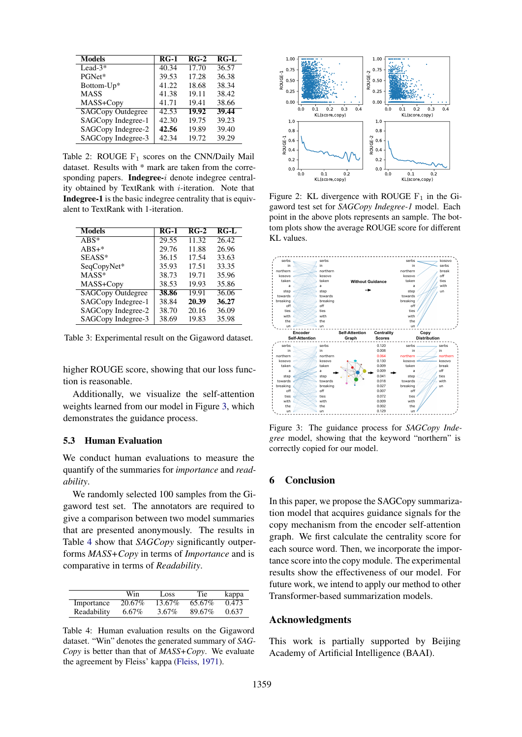<span id="page-4-0"></span>

| <b>Models</b>            | $RG-1$ | $RG-2$ | $RG-L$ |
|--------------------------|--------|--------|--------|
| Lead- $3*$               | 40.34  | 17.70  | 36.57  |
| PGNet*                   | 39.53  | 17.28  | 36.38  |
| Bottom-Up*               | 41.22  | 18.68  | 38.34  |
| <b>MASS</b>              | 41.38  | 19.11  | 38.42  |
| MASS+Copy                | 41.71  | 19.41  | 38.66  |
| <b>SAGCopy Outdegree</b> | 42.53  | 19.92  | 39.44  |
| SAGCopy Indegree-1       | 42.30  | 19.75  | 39.23  |
| SAGCopy Indegree-2       | 42.56  | 19.89  | 39.40  |
| SAGCopy Indegree-3       | 42.34  | 19.72  | 39.29  |

Table 2: ROUGE  $F_1$  scores on the CNN/Daily Mail dataset. Results with \* mark are taken from the corresponding papers. Indegree-i denote indegree centrality obtained by TextRank with  $i$ -iteration. Note that Indegree-1 is the basic indegree centrality that is equivalent to TextRank with 1-iteration.

<span id="page-4-1"></span>

| <b>Models</b>            | $RG-1$ | $RG-2$ | $RG-I$ |
|--------------------------|--------|--------|--------|
| $ABS^*$                  | 29.55  | 11.32  | 26.42  |
| $ABS+*$                  | 29.76  | 11.88  | 26.96  |
| SEASS*                   | 36.15  | 17.54  | 33.63  |
| SeqCopyNet*              | 35.93  | 17.51  | 33.35  |
| $MASS^*$                 | 38.73  | 19.71  | 35.96  |
| MASS+Copy                | 38.53  | 19.93  | 35.86  |
| <b>SAGCopy Outdegree</b> | 38.86  | 19.91  | 36.06  |
| SAGCopy Indegree-1       | 38.84  | 20.39  | 36.27  |
| SAGCopy Indegree-2       | 38.70  | 20.16  | 36.09  |
| SAGCopy Indegree-3       | 38.69  | 19.83  | 35.98  |

Table 3: Experimental result on the Gigaword dataset.

higher ROUGE score, showing that our loss function is reasonable.

Additionally, we visualize the self-attention weights learned from our model in Figure [3,](#page-4-3) which demonstrates the guidance process.

#### 5.3 Human Evaluation

We conduct human evaluations to measure the quantify of the summaries for *importance* and *readability*.

We randomly selected 100 samples from the Gigaword test set. The annotators are required to give a comparison between two model summaries that are presented anonymously. The results in Table [4](#page-4-4) show that *SAGCopy* significantly outperforms *MASS+Copy* in terms of *Importance* and is comparative in terms of *Readability*.

<span id="page-4-4"></span>

|             | Win      | Loss     | Tie    | kappa |
|-------------|----------|----------|--------|-------|
| Importance  | 20.67\%  | 13.67%   | 65.67% | 0.473 |
| Readability | $6.67\%$ | $3.67\%$ | 89.67% | 0.637 |

Table 4: Human evaluation results on the Gigaword dataset. "Win" denotes the generated summary of *SAG-Copy* is better than that of *MASS+Copy*. We evaluate the agreement by Fleiss' kappa [\(Fleiss,](#page-5-19) [1971\)](#page-5-19).

<span id="page-4-2"></span>

Figure 2: KL divergence with ROUGE  $F_1$  in the Gigaword test set for *SAGCopy Indegree-1* model. Each point in the above plots represents an sample. The bottom plots show the average ROUGE score for different KL values.

<span id="page-4-3"></span>

Figure 3: The guidance process for *SAGCopy Indegree* model, showing that the keyword "northern" is correctly copied for our model.

### 6 Conclusion

In this paper, we propose the SAGCopy summarization model that acquires guidance signals for the copy mechanism from the encoder self-attention graph. We first calculate the centrality score for each source word. Then, we incorporate the importance score into the copy module. The experimental results show the effectiveness of our model. For future work, we intend to apply our method to other Transformer-based summarization models.

#### Acknowledgments

This work is partially supported by Beijing Academy of Artificial Intelligence (BAAI).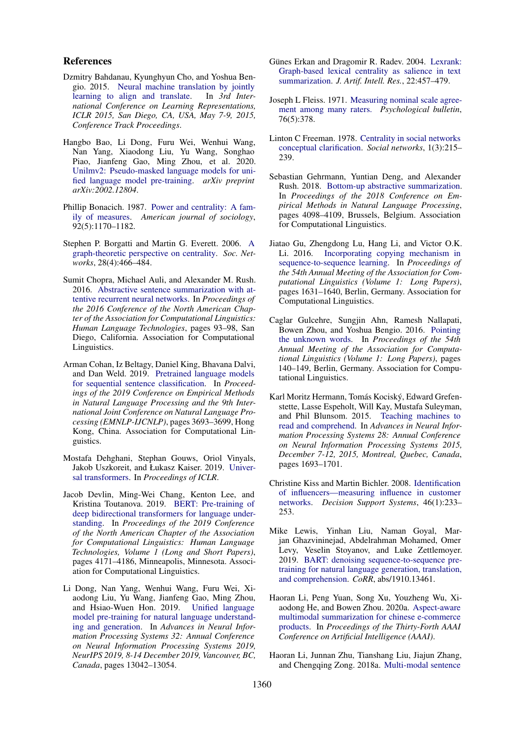#### References

- <span id="page-5-12"></span>Dzmitry Bahdanau, Kyunghyun Cho, and Yoshua Bengio. 2015. [Neural machine translation by jointly](http://arxiv.org/abs/1409.0473) [learning to align and translate.](http://arxiv.org/abs/1409.0473) In *3rd International Conference on Learning Representations, ICLR 2015, San Diego, CA, USA, May 7-9, 2015, Conference Track Proceedings*.
- <span id="page-5-11"></span>Hangbo Bao, Li Dong, Furu Wei, Wenhui Wang, Nan Yang, Xiaodong Liu, Yu Wang, Songhao Piao, Jianfeng Gao, Ming Zhou, et al. 2020. [Unilmv2: Pseudo-masked language models for uni](https://arxiv.org/pdf/2002.12804)[fied language model pre-training.](https://arxiv.org/pdf/2002.12804) *arXiv preprint arXiv:2002.12804*.
- <span id="page-5-14"></span>Phillip Bonacich. 1987. [Power and centrality: A fam](https://www.journals.uchicago.edu/doi/10.1086/228631)[ily of measures.](https://www.journals.uchicago.edu/doi/10.1086/228631) *American journal of sociology*, 92(5):1170–1182.
- <span id="page-5-15"></span>Stephen P. Borgatti and Martin G. Everett. 2006. [A](https://doi.org/10.1016/j.socnet.2005.11.005) [graph-theoretic perspective on centrality.](https://doi.org/10.1016/j.socnet.2005.11.005) *Soc. Networks*, 28(4):466–484.
- <span id="page-5-0"></span>Sumit Chopra, Michael Auli, and Alexander M. Rush. 2016. [Abstractive sentence summarization with at](https://doi.org/10.18653/v1/N16-1012)[tentive recurrent neural networks.](https://doi.org/10.18653/v1/N16-1012) In *Proceedings of the 2016 Conference of the North American Chapter of the Association for Computational Linguistics: Human Language Technologies*, pages 93–98, San Diego, California. Association for Computational Linguistics.
- <span id="page-5-5"></span>Arman Cohan, Iz Beltagy, Daniel King, Bhavana Dalvi, and Dan Weld. 2019. [Pretrained language models](https://doi.org/10.18653/v1/D19-1383) [for sequential sentence classification.](https://doi.org/10.18653/v1/D19-1383) In *Proceedings of the 2019 Conference on Empirical Methods in Natural Language Processing and the 9th International Joint Conference on Natural Language Processing (EMNLP-IJCNLP)*, pages 3693–3699, Hong Kong, China. Association for Computational Linguistics.
- <span id="page-5-3"></span>Mostafa Dehghani, Stephan Gouws, Oriol Vinyals, Jakob Uszkoreit, and Łukasz Kaiser. 2019. [Univer](https://openreview.net/pdf?id=HyzdRiR9Y7)[sal transformers.](https://openreview.net/pdf?id=HyzdRiR9Y7) In *Proceedings of ICLR*.
- <span id="page-5-4"></span>Jacob Devlin, Ming-Wei Chang, Kenton Lee, and Kristina Toutanova. 2019. [BERT: Pre-training of](https://doi.org/10.18653/v1/N19-1423) [deep bidirectional transformers for language under](https://doi.org/10.18653/v1/N19-1423)[standing.](https://doi.org/10.18653/v1/N19-1423) In *Proceedings of the 2019 Conference of the North American Chapter of the Association for Computational Linguistics: Human Language Technologies, Volume 1 (Long and Short Papers)*, pages 4171–4186, Minneapolis, Minnesota. Association for Computational Linguistics.
- <span id="page-5-9"></span>Li Dong, Nan Yang, Wenhui Wang, Furu Wei, Xiaodong Liu, Yu Wang, Jianfeng Gao, Ming Zhou, and Hsiao-Wuen Hon. 2019. [Unified language](http://papers.nips.cc/paper/9464-unified-language-model-pre-training-for-natural-language-understanding-and-generation) [model pre-training for natural language understand](http://papers.nips.cc/paper/9464-unified-language-model-pre-training-for-natural-language-understanding-and-generation)[ing and generation.](http://papers.nips.cc/paper/9464-unified-language-model-pre-training-for-natural-language-understanding-and-generation) In *Advances in Neural Information Processing Systems 32: Annual Conference on Neural Information Processing Systems 2019, NeurIPS 2019, 8-14 December 2019, Vancouver, BC, Canada*, pages 13042–13054.
- <span id="page-5-17"></span>Günes Erkan and Dragomir R. Radev. 2004. [Lexrank:](https://doi.org/10.1613/jair.1523) [Graph-based lexical centrality as salience in text](https://doi.org/10.1613/jair.1523) [summarization.](https://doi.org/10.1613/jair.1523) *J. Artif. Intell. Res.*, 22:457–479.
- <span id="page-5-19"></span>Joseph L Fleiss. 1971. [Measuring nominal scale agree](http://www.wpic.pitt.edu/research/biometrics/Publications/Biometrics%20Archives%20PDF/395-1971%20Fleiss0001.pdf)[ment among many raters.](http://www.wpic.pitt.edu/research/biometrics/Publications/Biometrics%20Archives%20PDF/395-1971%20Fleiss0001.pdf) *Psychological bulletin*, 76(5):378.
- <span id="page-5-13"></span>Linton C Freeman. 1978. [Centrality in social networks](https://www.sciencedirect.com/science/article/abs/pii/0378873378900217) [conceptual clarification.](https://www.sciencedirect.com/science/article/abs/pii/0378873378900217) *Social networks*, 1(3):215– 239.
- <span id="page-5-6"></span>Sebastian Gehrmann, Yuntian Deng, and Alexander Rush. 2018. [Bottom-up abstractive summarization.](https://doi.org/10.18653/v1/D18-1443) In *Proceedings of the 2018 Conference on Empirical Methods in Natural Language Processing*, pages 4098–4109, Brussels, Belgium. Association for Computational Linguistics.
- <span id="page-5-1"></span>Jiatao Gu, Zhengdong Lu, Hang Li, and Victor O.K. Li. 2016. [Incorporating copying mechanism in](https://doi.org/10.18653/v1/P16-1154) [sequence-to-sequence learning.](https://doi.org/10.18653/v1/P16-1154) In *Proceedings of the 54th Annual Meeting of the Association for Computational Linguistics (Volume 1: Long Papers)*, pages 1631–1640, Berlin, Germany. Association for Computational Linguistics.
- <span id="page-5-8"></span>Caglar Gulcehre, Sungjin Ahn, Ramesh Nallapati, Bowen Zhou, and Yoshua Bengio. 2016. [Pointing](https://doi.org/10.18653/v1/P16-1014) [the unknown words.](https://doi.org/10.18653/v1/P16-1014) In *Proceedings of the 54th Annual Meeting of the Association for Computational Linguistics (Volume 1: Long Papers)*, pages 140–149, Berlin, Germany. Association for Computational Linguistics.
- <span id="page-5-18"></span>Karl Moritz Hermann, Tomás Kociský, Edward Grefenstette, Lasse Espeholt, Will Kay, Mustafa Suleyman, and Phil Blunsom. 2015. [Teaching machines to](http://papers.nips.cc/paper/5945-teaching-machines-to-read-and-comprehend) [read and comprehend.](http://papers.nips.cc/paper/5945-teaching-machines-to-read-and-comprehend) In *Advances in Neural Information Processing Systems 28: Annual Conference on Neural Information Processing Systems 2015, December 7-12, 2015, Montreal, Quebec, Canada*, pages 1693–1701.
- <span id="page-5-16"></span>Christine Kiss and Martin Bichler. 2008. [Identification](http://dss.in.tum.de/files/bichler-research/2008_kiss_identification_of_influencers.pdf) [of influencers—measuring influence in customer](http://dss.in.tum.de/files/bichler-research/2008_kiss_identification_of_influencers.pdf) [networks.](http://dss.in.tum.de/files/bichler-research/2008_kiss_identification_of_influencers.pdf) *Decision Support Systems*, 46(1):233– 253.
- <span id="page-5-10"></span>Mike Lewis, Yinhan Liu, Naman Goyal, Marjan Ghazvininejad, Abdelrahman Mohamed, Omer Levy, Veselin Stoyanov, and Luke Zettlemoyer. 2019. [BART: denoising sequence-to-sequence pre](http://arxiv.org/abs/1910.13461)[training for natural language generation, translation,](http://arxiv.org/abs/1910.13461) [and comprehension.](http://arxiv.org/abs/1910.13461) *CoRR*, abs/1910.13461.
- <span id="page-5-7"></span>Haoran Li, Peng Yuan, Song Xu, Youzheng Wu, Xiaodong He, and Bowen Zhou. 2020a. [Aspect-aware](https://www.aaai.org/Papers/AAAI/2020GB/AAAI-LiH.902.pdf) [multimodal summarization for chinese e-commerce](https://www.aaai.org/Papers/AAAI/2020GB/AAAI-LiH.902.pdf) [products.](https://www.aaai.org/Papers/AAAI/2020GB/AAAI-LiH.902.pdf) In *Proceedings of the Thirty-Forth AAAI Conference on Artificial Intelligence (AAAI)*.
- <span id="page-5-2"></span>Haoran Li, Junnan Zhu, Tianshang Liu, Jiajun Zhang, and Chengqing Zong. 2018a. [Multi-modal sentence](https://doi.org/10.24963/ijcai.2018/577)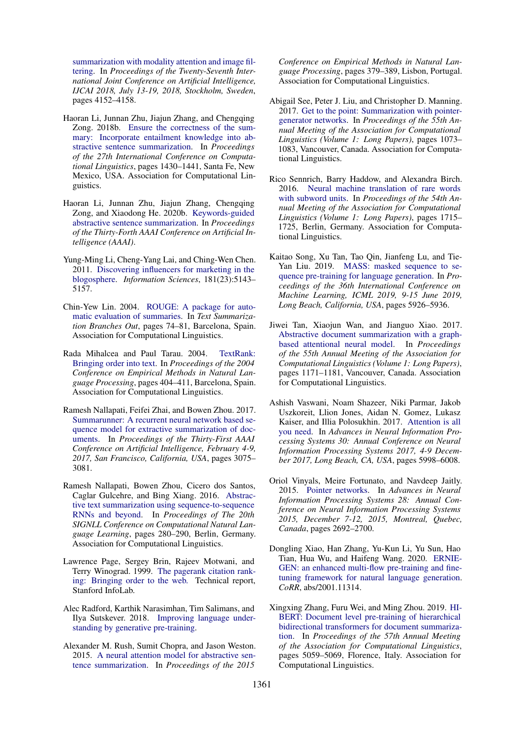[summarization with modality attention and image fil](https://doi.org/10.24963/ijcai.2018/577)[tering.](https://doi.org/10.24963/ijcai.2018/577) In *Proceedings of the Twenty-Seventh International Joint Conference on Artificial Intelligence, IJCAI 2018, July 13-19, 2018, Stockholm, Sweden*, pages 4152–4158.

- <span id="page-6-3"></span>Haoran Li, Junnan Zhu, Jiajun Zhang, and Chengqing Zong. 2018b. [Ensure the correctness of the sum](https://www.aclweb.org/anthology/C18-1121)[mary: Incorporate entailment knowledge into ab](https://www.aclweb.org/anthology/C18-1121)[stractive sentence summarization.](https://www.aclweb.org/anthology/C18-1121) In *Proceedings of the 27th International Conference on Computational Linguistics*, pages 1430–1441, Santa Fe, New Mexico, USA. Association for Computational Linguistics.
- <span id="page-6-11"></span>Haoran Li, Junnan Zhu, Jiajun Zhang, Chengqing Zong, and Xiaodong He. 2020b. [Keywords-guided](https://www.aaai.org/Papers/AAAI/2020GB/AAAI-LiH.1493.pdf) [abstractive sentence summarization.](https://www.aaai.org/Papers/AAAI/2020GB/AAAI-LiH.1493.pdf) In *Proceedings of the Thirty-Forth AAAI Conference on Artificial Intelligence (AAAI)*.
- <span id="page-6-14"></span>Yung-Ming Li, Cheng-Yang Lai, and Ching-Wen Chen. 2011. [Discovering influencers for marketing in the](https://ir.nctu.edu.tw/bitstream/11536/14642/1/000295760600002.pdf) [blogosphere.](https://ir.nctu.edu.tw/bitstream/11536/14642/1/000295760600002.pdf) *Information Sciences*, 181(23):5143– 5157.
- <span id="page-6-17"></span>Chin-Yew Lin. 2004. [ROUGE: A package for auto](https://www.aclweb.org/anthology/W04-1013)[matic evaluation of summaries.](https://www.aclweb.org/anthology/W04-1013) In *Text Summarization Branches Out*, pages 74–81, Barcelona, Spain. Association for Computational Linguistics.
- <span id="page-6-8"></span>Rada Mihalcea and Paul Tarau. 2004. [TextRank:](https://www.aclweb.org/anthology/W04-3252) [Bringing order into text.](https://www.aclweb.org/anthology/W04-3252) In *Proceedings of the 2004 Conference on Empirical Methods in Natural Language Processing*, pages 404–411, Barcelona, Spain. Association for Computational Linguistics.
- <span id="page-6-1"></span>Ramesh Nallapati, Feifei Zhai, and Bowen Zhou. 2017. [Summarunner: A recurrent neural network based se](http://aaai.org/ocs/index.php/AAAI/AAAI17/paper/view/14636)[quence model for extractive summarization of doc](http://aaai.org/ocs/index.php/AAAI/AAAI17/paper/view/14636)[uments.](http://aaai.org/ocs/index.php/AAAI/AAAI17/paper/view/14636) In *Proceedings of the Thirty-First AAAI Conference on Artificial Intelligence, February 4-9, 2017, San Francisco, California, USA*, pages 3075– 3081.
- <span id="page-6-0"></span>Ramesh Nallapati, Bowen Zhou, Cicero dos Santos, Caglar Gulcehre, and Bing Xiang. 2016. [Abstrac](https://doi.org/10.18653/v1/K16-1028)[tive text summarization using sequence-to-sequence](https://doi.org/10.18653/v1/K16-1028) [RNNs and beyond.](https://doi.org/10.18653/v1/K16-1028) In *Proceedings of The 20th SIGNLL Conference on Computational Natural Language Learning*, pages 280–290, Berlin, Germany. Association for Computational Linguistics.
- <span id="page-6-15"></span>Lawrence Page, Sergey Brin, Rajeev Motwani, and Terry Winograd. 1999. [The pagerank citation rank](http://ilpubs.stanford.edu:8090/422/1/1999-66.pdf)[ing: Bringing order to the web.](http://ilpubs.stanford.edu:8090/422/1/1999-66.pdf) Technical report, Stanford InfoLab.
- <span id="page-6-12"></span>Alec Radford, Karthik Narasimhan, Tim Salimans, and Ilya Sutskever. 2018. [Improving language under](https://www.cs.ubc.ca/~amuham01/LING530/papers/radford2018improving.pdf)[standing by generative pre-training.](https://www.cs.ubc.ca/~amuham01/LING530/papers/radford2018improving.pdf)
- <span id="page-6-9"></span>Alexander M. Rush, Sumit Chopra, and Jason Weston. 2015. [A neural attention model for abstractive sen](https://doi.org/10.18653/v1/D15-1044)[tence summarization.](https://doi.org/10.18653/v1/D15-1044) In *Proceedings of the 2015*

*Conference on Empirical Methods in Natural Language Processing*, pages 379–389, Lisbon, Portugal. Association for Computational Linguistics.

- <span id="page-6-2"></span>Abigail See, Peter J. Liu, and Christopher D. Manning. 2017. [Get to the point: Summarization with pointer](https://doi.org/10.18653/v1/P17-1099)[generator networks.](https://doi.org/10.18653/v1/P17-1099) In *Proceedings of the 55th Annual Meeting of the Association for Computational Linguistics (Volume 1: Long Papers)*, pages 1073– 1083, Vancouver, Canada. Association for Computational Linguistics.
- <span id="page-6-16"></span>Rico Sennrich, Barry Haddow, and Alexandra Birch. 2016. [Neural machine translation of rare words](https://doi.org/10.18653/v1/P16-1162) [with subword units.](https://doi.org/10.18653/v1/P16-1162) In *Proceedings of the 54th Annual Meeting of the Association for Computational Linguistics (Volume 1: Long Papers)*, pages 1715– 1725, Berlin, Germany. Association for Computational Linguistics.
- <span id="page-6-5"></span>Kaitao Song, Xu Tan, Tao Qin, Jianfeng Lu, and Tie-Yan Liu. 2019. [MASS: masked sequence to se](http://proceedings.mlr.press/v97/song19d.html)[quence pre-training for language generation.](http://proceedings.mlr.press/v97/song19d.html) In *Proceedings of the 36th International Conference on Machine Learning, ICML 2019, 9-15 June 2019, Long Beach, California, USA*, pages 5926–5936.
- <span id="page-6-10"></span>Jiwei Tan, Xiaojun Wan, and Jianguo Xiao. 2017. [Abstractive document summarization with a graph](https://doi.org/10.18653/v1/P17-1108)[based attentional neural model.](https://doi.org/10.18653/v1/P17-1108) In *Proceedings of the 55th Annual Meeting of the Association for Computational Linguistics (Volume 1: Long Papers)*, pages 1171–1181, Vancouver, Canada. Association for Computational Linguistics.
- <span id="page-6-4"></span>Ashish Vaswani, Noam Shazeer, Niki Parmar, Jakob Uszkoreit, Llion Jones, Aidan N. Gomez, Lukasz Kaiser, and Illia Polosukhin. 2017. [Attention is all](http://papers.nips.cc/paper/7181-attention-is-all-you-need) [you need.](http://papers.nips.cc/paper/7181-attention-is-all-you-need) In *Advances in Neural Information Processing Systems 30: Annual Conference on Neural Information Processing Systems 2017, 4-9 December 2017, Long Beach, CA, USA*, pages 5998–6008.
- <span id="page-6-7"></span>Oriol Vinyals, Meire Fortunato, and Navdeep Jaitly. 2015. [Pointer networks.](http://papers.nips.cc/paper/5866-pointer-networks) In *Advances in Neural Information Processing Systems 28: Annual Conference on Neural Information Processing Systems 2015, December 7-12, 2015, Montreal, Quebec, Canada*, pages 2692–2700.
- <span id="page-6-13"></span>Dongling Xiao, Han Zhang, Yu-Kun Li, Yu Sun, Hao Tian, Hua Wu, and Haifeng Wang. 2020. [ERNIE-](http://arxiv.org/abs/2001.11314)[GEN: an enhanced multi-flow pre-training and fine](http://arxiv.org/abs/2001.11314)[tuning framework for natural language generation.](http://arxiv.org/abs/2001.11314) *CoRR*, abs/2001.11314.
- <span id="page-6-6"></span>Xingxing Zhang, Furu Wei, and Ming Zhou. 2019. [HI-](https://doi.org/10.18653/v1/P19-1499)[BERT: Document level pre-training of hierarchical](https://doi.org/10.18653/v1/P19-1499) [bidirectional transformers for document summariza](https://doi.org/10.18653/v1/P19-1499)[tion.](https://doi.org/10.18653/v1/P19-1499) In *Proceedings of the 57th Annual Meeting of the Association for Computational Linguistics*, pages 5059–5069, Florence, Italy. Association for Computational Linguistics.